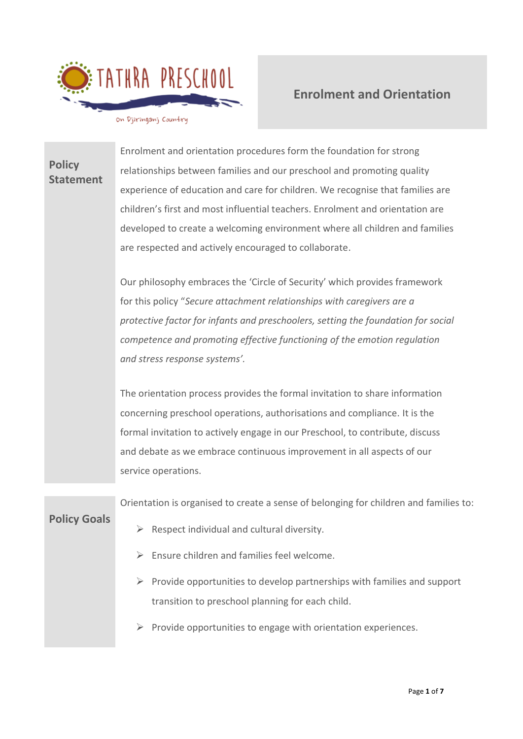

# **Enrolment and Orientation**

on Djiringanj Country

# **Policy Statement** Enrolment and orientation procedures form the foundation for strong relationships between families and our preschool and promoting quality experience of education and care for children. We recognise that families are children's first and most influential teachers. Enrolment and orientation are developed to create a welcoming environment where all children and families are respected and actively encouraged to collaborate. Our philosophy embraces the 'Circle of Security' which provides framework for this policy "*Secure attachment relationships with caregivers are a protective factor for infants and preschoolers, setting the foundation for social competence and promoting effective functioning of the emotion regulation and stress response systems'.* The orientation process provides the formal invitation to share information concerning preschool operations, authorisations and compliance. It is the formal invitation to actively engage in our Preschool, to contribute, discuss and debate as we embrace continuous improvement in all aspects of our service operations. **Policy Goals** Orientation is organised to create a sense of belonging for children and families to:  $\triangleright$  Respect individual and cultural diversity. ➢ Ensure children and families feel welcome.  $\triangleright$  Provide opportunities to develop partnerships with families and support

 $\triangleright$  Provide opportunities to engage with orientation experiences.

transition to preschool planning for each child.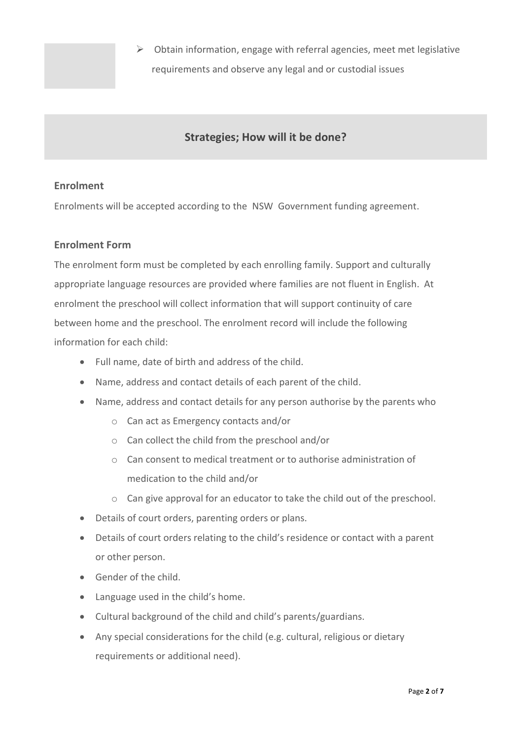➢ Obtain information, engage with referral agencies, meet met legislative requirements and observe any legal and or custodial issues

## **Strategies; How will it be done?**

## **Enrolment**

Enrolments will be accepted according to the NSW Government funding agreement.

## **Enrolment Form**

The enrolment form must be completed by each enrolling family. Support and culturally appropriate language resources are provided where families are not fluent in English. At enrolment the preschool will collect information that will support continuity of care between home and the preschool. The enrolment record will include the following information for each child:

- Full name, date of birth and address of the child.
- Name, address and contact details of each parent of the child.
- Name, address and contact details for any person authorise by the parents who
	- o Can act as Emergency contacts and/or
	- o Can collect the child from the preschool and/or
	- o Can consent to medical treatment or to authorise administration of medication to the child and/or
	- o Can give approval for an educator to take the child out of the preschool.
- Details of court orders, parenting orders or plans.
- Details of court orders relating to the child's residence or contact with a parent or other person.
- Gender of the child.
- Language used in the child's home.
- Cultural background of the child and child's parents/guardians.
- Any special considerations for the child (e.g. cultural, religious or dietary requirements or additional need).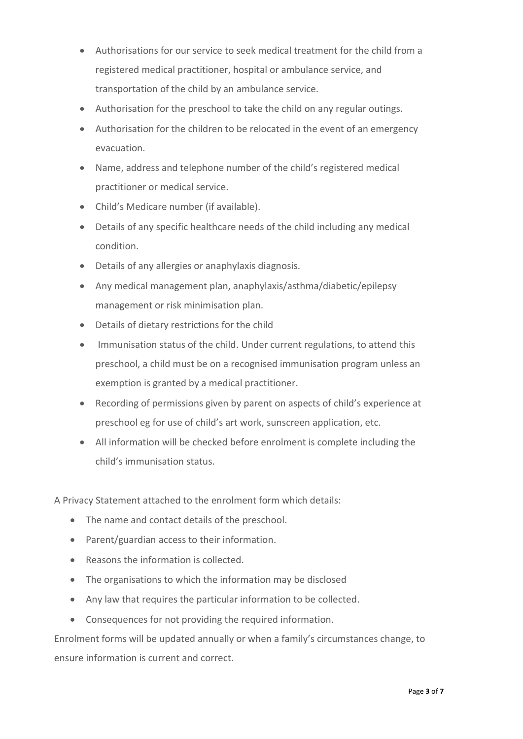- Authorisations for our service to seek medical treatment for the child from a registered medical practitioner, hospital or ambulance service, and transportation of the child by an ambulance service.
- Authorisation for the preschool to take the child on any regular outings.
- Authorisation for the children to be relocated in the event of an emergency evacuation.
- Name, address and telephone number of the child's registered medical practitioner or medical service.
- Child's Medicare number (if available).
- Details of any specific healthcare needs of the child including any medical condition.
- Details of any allergies or anaphylaxis diagnosis.
- Any medical management plan, anaphylaxis/asthma/diabetic/epilepsy management or risk minimisation plan.
- Details of dietary restrictions for the child
- Immunisation status of the child. Under current regulations, to attend this preschool, a child must be on a recognised immunisation program unless an exemption is granted by a medical practitioner.
- Recording of permissions given by parent on aspects of child's experience at preschool eg for use of child's art work, sunscreen application, etc.
- All information will be checked before enrolment is complete including the child's immunisation status.

A Privacy Statement attached to the enrolment form which details:

- The name and contact details of the preschool.
- Parent/guardian access to their information.
- Reasons the information is collected.
- The organisations to which the information may be disclosed
- Any law that requires the particular information to be collected.
- Consequences for not providing the required information.

Enrolment forms will be updated annually or when a family's circumstances change, to ensure information is current and correct.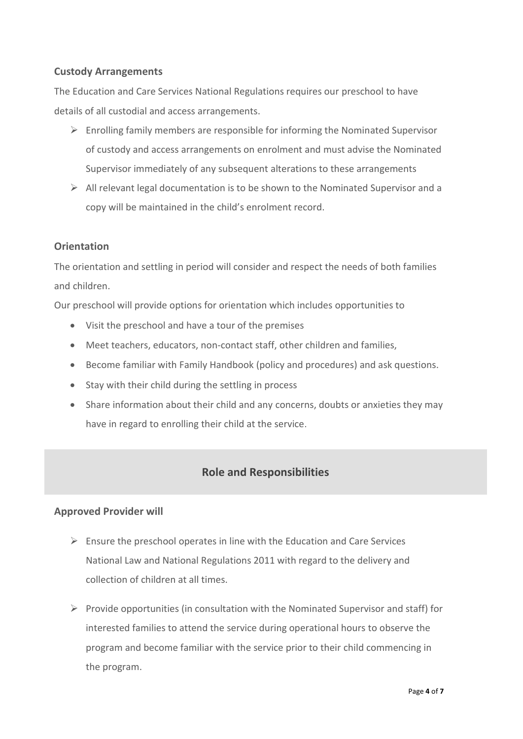## **Custody Arrangements**

The Education and Care Services National Regulations requires our preschool to have details of all custodial and access arrangements.

- $\triangleright$  Enrolling family members are responsible for informing the Nominated Supervisor of custody and access arrangements on enrolment and must advise the Nominated Supervisor immediately of any subsequent alterations to these arrangements
- $\triangleright$  All relevant legal documentation is to be shown to the Nominated Supervisor and a copy will be maintained in the child's enrolment record.

## **Orientation**

The orientation and settling in period will consider and respect the needs of both families and children.

Our preschool will provide options for orientation which includes opportunities to

- Visit the preschool and have a tour of the premises
- Meet teachers, educators, non-contact staff, other children and families,
- Become familiar with Family Handbook (policy and procedures) and ask questions.
- Stay with their child during the settling in process
- Share information about their child and any concerns, doubts or anxieties they may have in regard to enrolling their child at the service.

## **Role and Responsibilities**

## **Approved Provider will**

- $\triangleright$  Ensure the preschool operates in line with the Education and Care Services National Law and National Regulations 2011 with regard to the delivery and collection of children at all times.
- $\triangleright$  Provide opportunities (in consultation with the Nominated Supervisor and staff) for interested families to attend the service during operational hours to observe the program and become familiar with the service prior to their child commencing in the program.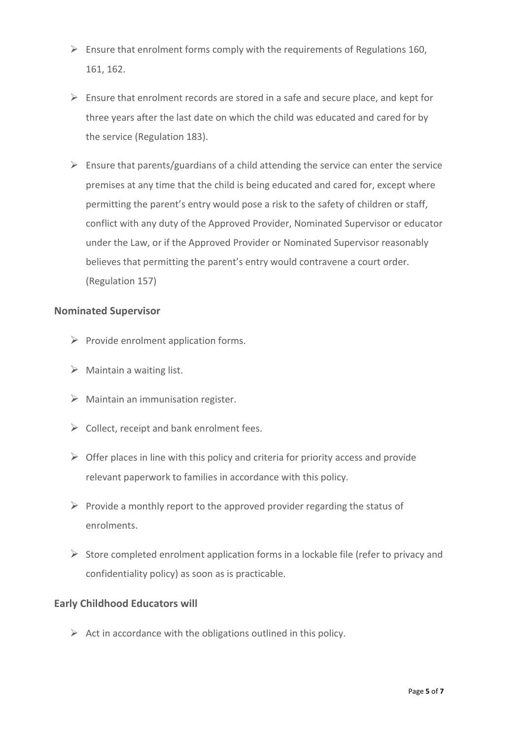- $\triangleright$  Ensure that enrolment forms comply with the requirements of Regulations 160, 161, 162.
- $\triangleright$  Ensure that enrolment records are stored in a safe and secure place, and kept for three years after the last date on which the child was educated and cared for by the service (Regulation 183).
- $\triangleright$  Ensure that parents/guardians of a child attending the service can enter the service premises at any time that the child is being educated and cared for, except where permitting the parent's entry would pose a risk to the safety of children or staff, conflict with any duty of the Approved Provider, Nominated Supervisor or educator under the Law, or if the Approved Provider or Nominated Supervisor reasonably believes that permitting the parent's entry would contravene a court order. (Regulation 157)

#### **Nominated Supervisor**

- $\triangleright$  Provide enrolment application forms.
- $\triangleright$  Maintain a waiting list.
- $\triangleright$  Maintain an immunisation register.
- $\triangleright$  Collect, receipt and bank enrolment fees.
- $\triangleright$  Offer places in line with this policy and criteria for priority access and provide relevant paperwork to families in accordance with this policy.
- $\triangleright$  Provide a monthly report to the approved provider regarding the status of enrolments.
- $\triangleright$  Store completed enrolment application forms in a lockable file (refer to privacy and confidentiality policy) as soon as is practicable.

## **Early Childhood Educators will**

 $\triangleright$  Act in accordance with the obligations outlined in this policy.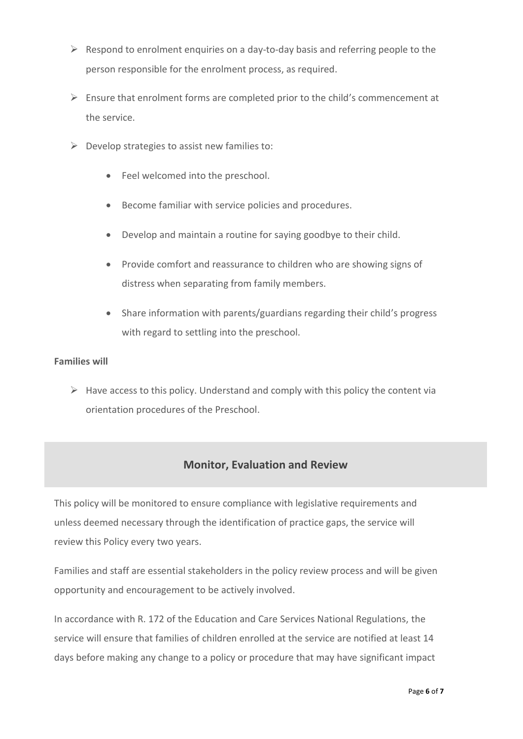- $\triangleright$  Respond to enrolment enquiries on a day-to-day basis and referring people to the person responsible for the enrolment process, as required.
- $\triangleright$  Ensure that enrolment forms are completed prior to the child's commencement at the service.
- $\triangleright$  Develop strategies to assist new families to:
	- Feel welcomed into the preschool.
	- Become familiar with service policies and procedures.
	- Develop and maintain a routine for saying goodbye to their child.
	- Provide comfort and reassurance to children who are showing signs of distress when separating from family members.
	- Share information with parents/guardians regarding their child's progress with regard to settling into the preschool.

#### **Families will**

 $\triangleright$  Have access to this policy. Understand and comply with this policy the content via orientation procedures of the Preschool.

## **Monitor, Evaluation and Review**

This policy will be monitored to ensure compliance with legislative requirements and unless deemed necessary through the identification of practice gaps, the service will review this Policy every two years.

Families and staff are essential stakeholders in the policy review process and will be given opportunity and encouragement to be actively involved.

In accordance with R. 172 of the Education and Care Services National Regulations, the service will ensure that families of children enrolled at the service are notified at least 14 days before making any change to a policy or procedure that may have significant impact